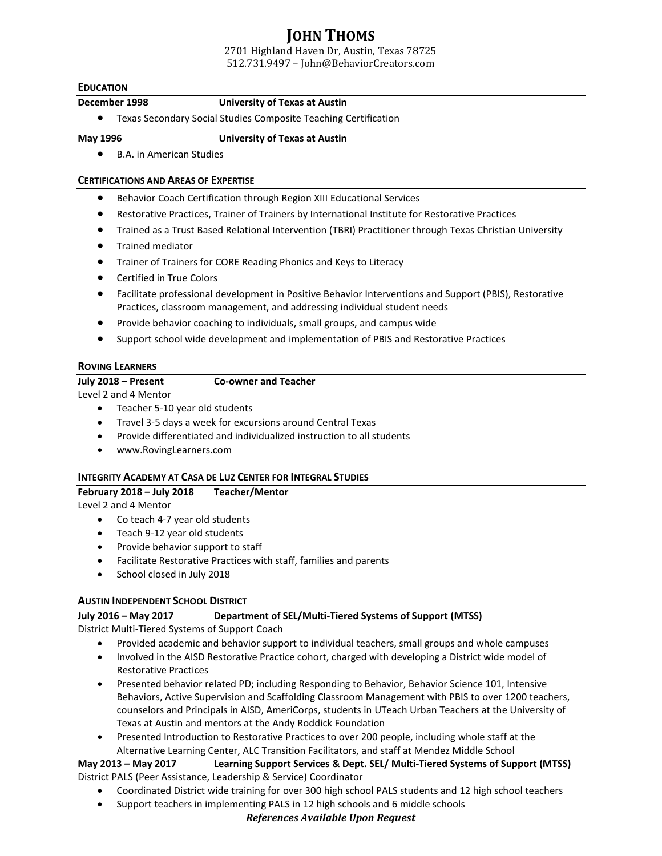# **JOHN THOMS**

2701 Highland Haven Dr, Austin, Texas 78725 512.731.9497 – John@BehaviorCreators.com

#### **EDUCATION**

## **December 1998 University of Texas at Austin**

• Texas Secondary Social Studies Composite Teaching Certification

#### **May 1996 University of Texas at Austin**

• B.A. in American Studies

#### **CERTIFICATIONS AND AREAS OF EXPERTISE**

- Behavior Coach Certification through Region XIII Educational Services
- Restorative Practices, Trainer of Trainers by International Institute for Restorative Practices
- Trained as a Trust Based Relational Intervention (TBRI) Practitioner through Texas Christian University
- Trained mediator
- Trainer of Trainers for CORE Reading Phonics and Keys to Literacy
- Certified in True Colors
- Facilitate professional development in Positive Behavior Interventions and Support (PBIS), Restorative Practices, classroom management, and addressing individual student needs
- Provide behavior coaching to individuals, small groups, and campus wide
- Support school wide development and implementation of PBIS and Restorative Practices

## **ROVING LEARNERS**

#### **July 2018 – Present Co-owner and Teacher**

Level 2 and 4 Mentor

- Teacher 5-10 year old students
- Travel 3-5 days a week for excursions around Central Texas
- Provide differentiated and individualized instruction to all students
- www.RovingLearners.com

#### **INTEGRITY ACADEMY AT CASA DE LUZ CENTER FOR INTEGRAL STUDIES**

## **February 2018 – July 2018 Teacher/Mentor**

Level 2 and 4 Mentor

- Co teach 4-7 year old students
- Teach 9-12 year old students
- Provide behavior support to staff
- Facilitate Restorative Practices with staff, families and parents
- School closed in July 2018

# **AUSTIN INDEPENDENT SCHOOL DISTRICT**

# **July 2016 – May 2017 Department of SEL/Multi-Tiered Systems of Support (MTSS)**

District Multi-Tiered Systems of Support Coach

- Provided academic and behavior support to individual teachers, small groups and whole campuses
- Involved in the AISD Restorative Practice cohort, charged with developing a District wide model of Restorative Practices
- Presented behavior related PD; including Responding to Behavior, Behavior Science 101, Intensive Behaviors, Active Supervision and Scaffolding Classroom Management with PBIS to over 1200 teachers, counselors and Principals in AISD, AmeriCorps, students in UTeach Urban Teachers at the University of Texas at Austin and mentors at the Andy Roddick Foundation
- Presented Introduction to Restorative Practices to over 200 people, including whole staff at the Alternative Learning Center, ALC Transition Facilitators, and staff at Mendez Middle School

# **May 2013 – May 2017 Learning Support Services & Dept. SEL/ Multi-Tiered Systems of Support (MTSS)** District PALS (Peer Assistance, Leadership & Service) Coordinator

- Coordinated District wide training for over 300 high school PALS students and 12 high school teachers
- Support teachers in implementing PALS in 12 high schools and 6 middle schools

#### *References Available Upon Request*